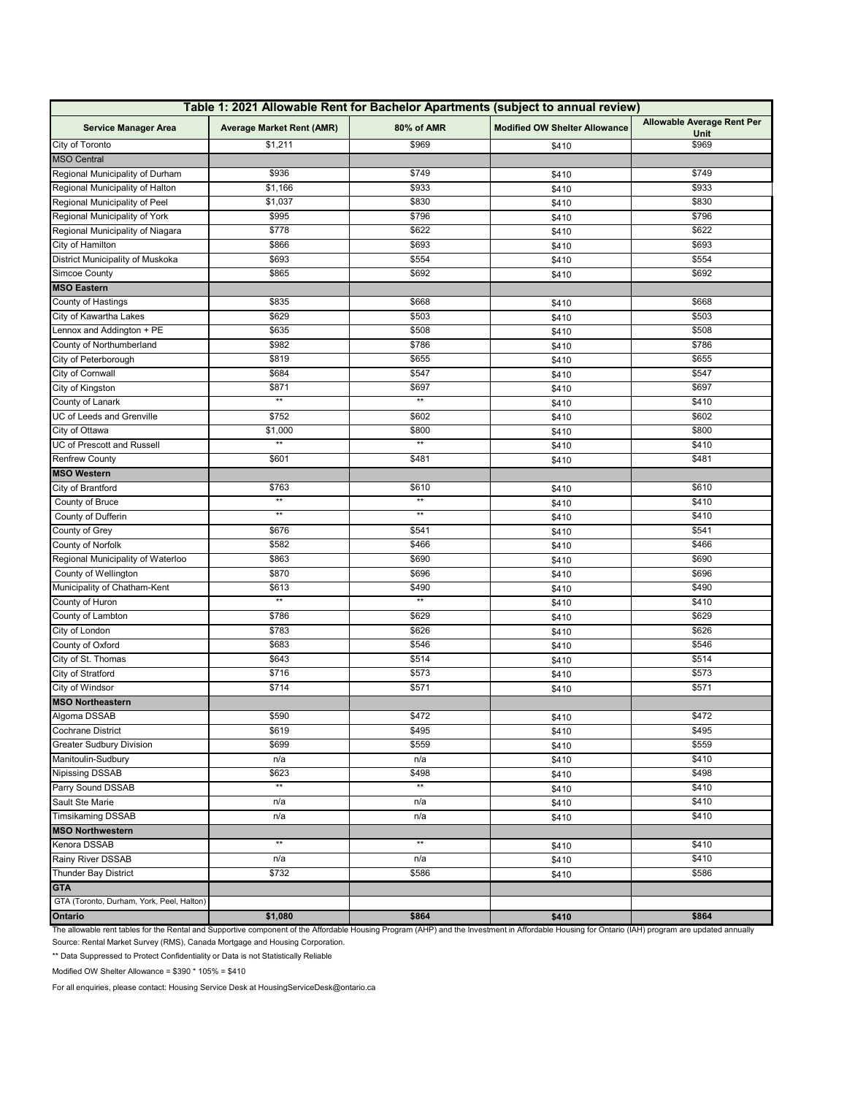| Table 1: 2021 Allowable Rent for Bachelor Apartments (subject to annual review) |                                  |                   |                                      |                            |  |  |
|---------------------------------------------------------------------------------|----------------------------------|-------------------|--------------------------------------|----------------------------|--|--|
| <b>Service Manager Area</b>                                                     | <b>Average Market Rent (AMR)</b> | 80% of AMR        | <b>Modified OW Shelter Allowance</b> | Allowable Average Rent Per |  |  |
| City of Toronto                                                                 | \$1,211                          | \$969             | \$410                                | Unit<br>\$969              |  |  |
| <b>MSO Central</b>                                                              |                                  |                   |                                      |                            |  |  |
| Regional Municipality of Durham                                                 | \$936                            | \$749             | \$410                                | \$749                      |  |  |
| Regional Municipality of Halton                                                 | \$1,166                          | \$933             | \$410                                | \$933                      |  |  |
| Regional Municipality of Peel                                                   | \$1,037                          | \$830             |                                      | \$830                      |  |  |
| Regional Municipality of York                                                   | \$995                            | \$796             | \$410                                | \$796                      |  |  |
| Regional Municipality of Niagara                                                | \$778                            | \$622             | \$410<br>\$410                       | \$622                      |  |  |
| City of Hamilton                                                                | \$866                            | \$693             |                                      | \$693                      |  |  |
| District Municipality of Muskoka                                                | \$693                            | \$554             | \$410<br>\$410                       | \$554                      |  |  |
| Simcoe County                                                                   | \$865                            | \$692             | \$410                                | \$692                      |  |  |
| <b>MSO Eastern</b>                                                              |                                  |                   |                                      |                            |  |  |
| County of Hastings                                                              | \$835                            | \$668             | \$410                                | \$668                      |  |  |
| City of Kawartha Lakes                                                          | \$629                            | \$503             | \$410                                | \$503                      |  |  |
| Lennox and Addington + PE                                                       | \$635                            | \$508             | \$410                                | \$508                      |  |  |
| County of Northumberland                                                        | \$982                            | \$786             | \$410                                | \$786                      |  |  |
| City of Peterborough                                                            | \$819                            | \$655             | \$410                                | \$655                      |  |  |
| City of Cornwall                                                                | \$684                            | \$547             | \$410                                | \$547                      |  |  |
| City of Kingston                                                                | \$871                            | \$697             | \$410                                | \$697                      |  |  |
| County of Lanark                                                                | $^{\star\star}$                  | $^{\star\star}$   | \$410                                | \$410                      |  |  |
| UC of Leeds and Grenville                                                       | \$752                            | \$602             | \$410                                | \$602                      |  |  |
| City of Ottawa                                                                  | \$1,000                          | \$800             | \$410                                | \$800                      |  |  |
| UC of Prescott and Russell                                                      | $**$                             | $**$              | \$410                                | \$410                      |  |  |
| <b>Renfrew County</b>                                                           | \$601                            | \$481             | \$410                                | \$481                      |  |  |
| <b>MSO Western</b>                                                              |                                  |                   |                                      |                            |  |  |
| City of Brantford                                                               | \$763                            | \$610             | \$410                                | \$610                      |  |  |
| County of Bruce                                                                 | $\star\star$                     | $\star\star$      | \$410                                | \$410                      |  |  |
| County of Dufferin                                                              | $\star\star$                     | $\star\star$      | \$410                                | \$410                      |  |  |
| County of Grey                                                                  | \$676                            | \$541             | \$410                                | \$541                      |  |  |
| <b>County of Norfolk</b>                                                        | \$582                            | \$466             | \$410                                | \$466                      |  |  |
| Regional Municipality of Waterloo                                               | \$863                            | \$690             | \$410                                | \$690                      |  |  |
| County of Wellington                                                            | \$870                            | \$696             | \$410                                | \$696                      |  |  |
| Municipality of Chatham-Kent                                                    | \$613                            | \$490             | \$410                                | \$490                      |  |  |
| County of Huron                                                                 | $^{\star\star}$                  | $\star\star$      | \$410                                | \$410                      |  |  |
| County of Lambton                                                               | \$786                            | \$629             | \$410                                | \$629                      |  |  |
| City of London                                                                  | \$783                            | \$626             | \$410                                | \$626                      |  |  |
| County of Oxford                                                                | \$683                            | \$546             | \$410                                | \$546                      |  |  |
| City of St. Thomas                                                              | \$643                            | \$514             | \$410                                | \$514                      |  |  |
| City of Stratford                                                               | \$716                            | \$573             | \$410                                | \$573                      |  |  |
| City of Windsor                                                                 | $\sqrt{3714}$                    | \$571             | \$410                                | \$571                      |  |  |
| <b>MSO Northeastern</b>                                                         |                                  |                   |                                      |                            |  |  |
| Algoma DSSAB                                                                    | \$590                            | \$472             | \$410                                | \$472                      |  |  |
| Cochrane District                                                               | \$619                            | \$495             | \$410                                | \$495                      |  |  |
| <b>Greater Sudbury Division</b>                                                 | \$699                            | \$559             | \$410                                | \$559                      |  |  |
| Manitoulin-Sudbury                                                              | n/a                              | n/a               | \$410                                | \$410                      |  |  |
| Nipissing DSSAB                                                                 | \$623                            | $\overline{$}498$ | \$410                                | \$498                      |  |  |
| Parry Sound DSSAB                                                               | $**$                             | $\star\star$      | \$410                                | \$410                      |  |  |
| Sault Ste Marie                                                                 | n/a                              | n/a               | \$410                                | \$410                      |  |  |
| <b>Timsikaming DSSAB</b>                                                        | n/a                              | n/a               | \$410                                | \$410                      |  |  |
| <b>MSO Northwestern</b>                                                         |                                  |                   |                                      |                            |  |  |
| Kenora DSSAB                                                                    | $**$                             | $\star\star$      | \$410                                | \$410                      |  |  |
| Rainy River DSSAB                                                               | n/a                              | n/a               | \$410                                | \$410                      |  |  |
| Thunder Bay District                                                            | \$732                            | $\overline{$}586$ | \$410                                | \$586                      |  |  |
| <b>GTA</b>                                                                      |                                  |                   |                                      |                            |  |  |
| GTA (Toronto, Durham, York, Peel, Halton)                                       |                                  |                   |                                      |                            |  |  |
| Ontario                                                                         | \$1,080                          | \$864             | \$410                                | \$864                      |  |  |
|                                                                                 |                                  |                   |                                      |                            |  |  |

The allowable rent tables for the Rental and Supportive component of the Affordable Housing Program (AHP) and the Investment in Affordable Housing for Ontario (IAH) program are updated annually Source: Rental Market Survey (RMS), Canada Mortgage and Housing Corporation.

\*\* Data Suppressed to Protect Confidentiality or Data is not Statistically Reliable

Modified OW Shelter Allowance = \$390 \* 105% = \$410

For all enquiries, please contact: Housing Service Desk at HousingServiceDesk@ontario.ca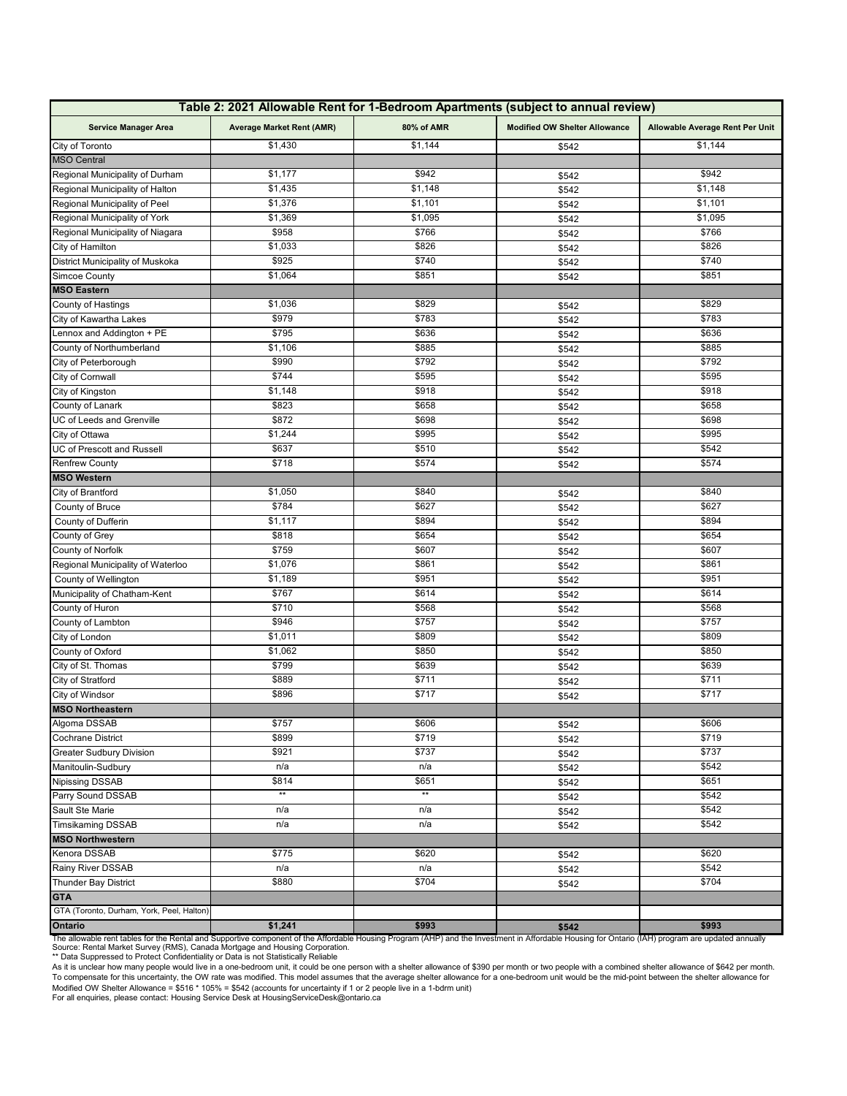| Table 2: 2021 Allowable Rent for 1-Bedroom Apartments (subject to annual review) |                                  |                  |                                      |                                 |  |  |
|----------------------------------------------------------------------------------|----------------------------------|------------------|--------------------------------------|---------------------------------|--|--|
| <b>Service Manager Area</b>                                                      | <b>Average Market Rent (AMR)</b> | 80% of AMR       | <b>Modified OW Shelter Allowance</b> | Allowable Average Rent Per Unit |  |  |
| City of Toronto                                                                  | \$1,430                          | \$1,144          | \$542                                | \$1,144                         |  |  |
| <b>MSO Central</b>                                                               |                                  |                  |                                      |                                 |  |  |
| Regional Municipality of Durham                                                  | \$1,177                          | \$942<br>\$542   |                                      | \$942                           |  |  |
| Regional Municipality of Halton                                                  | \$1,435                          | \$1,148<br>\$542 |                                      | \$1,148                         |  |  |
| Regional Municipality of Peel                                                    | \$1,376                          | \$1,101          | \$542                                | \$1,101                         |  |  |
| Regional Municipality of York                                                    | \$1,369                          | \$1,095          | \$542                                | \$1,095                         |  |  |
| Regional Municipality of Niagara                                                 | \$958                            | \$766            | \$542                                | \$766                           |  |  |
| City of Hamilton                                                                 | \$1,033                          | \$826            | \$542                                | \$826                           |  |  |
| District Municipality of Muskoka                                                 | \$925                            | \$740            | \$542                                | \$740                           |  |  |
| Simcoe County                                                                    | \$1,064                          | \$851            | \$542                                | \$851                           |  |  |
| <b>MSO Eastern</b>                                                               |                                  |                  |                                      |                                 |  |  |
| County of Hastings                                                               | \$1,036                          | \$829            | \$542                                | \$829                           |  |  |
| City of Kawartha Lakes                                                           | \$979                            | \$783            | \$542                                | \$783                           |  |  |
| Lennox and Addington + PE                                                        | \$795                            | \$636            | \$542                                | \$636                           |  |  |
| County of Northumberland                                                         | \$1,106                          | \$885            | \$542                                | \$885                           |  |  |
| City of Peterborough                                                             | \$990                            | \$792            | \$542                                | \$792                           |  |  |
| City of Cornwall                                                                 | $\sqrt{3744}$                    | \$595            | \$542                                | \$595                           |  |  |
| City of Kingston                                                                 | \$1,148                          | \$918            | \$542                                | \$918                           |  |  |
| County of Lanark                                                                 | \$823                            | \$658            | \$542                                | \$658                           |  |  |
| UC of Leeds and Grenville                                                        | \$872                            | \$698            | \$542                                | \$698                           |  |  |
| City of Ottawa                                                                   | \$1,244                          | \$995            | \$542                                | \$995                           |  |  |
| UC of Prescott and Russell                                                       | \$637                            | \$510            | \$542                                | \$542                           |  |  |
| <b>Renfrew County</b>                                                            | \$718                            | \$574            |                                      | \$574                           |  |  |
| <b>MSO Western</b>                                                               |                                  |                  | \$542                                |                                 |  |  |
| City of Brantford                                                                | \$1,050                          | \$840            |                                      | \$840                           |  |  |
|                                                                                  | \$784                            | \$627            | \$542                                | \$627                           |  |  |
| County of Bruce                                                                  | \$1,117                          | \$894            | \$542                                | \$894                           |  |  |
| County of Dufferin                                                               |                                  |                  | \$542                                |                                 |  |  |
| County of Grey                                                                   | \$818<br>\$759                   | \$654<br>\$607   | \$542                                | \$654<br>\$607                  |  |  |
| County of Norfolk                                                                |                                  | \$861            | \$542                                | \$861                           |  |  |
| Regional Municipality of Waterloo                                                | \$1,076                          |                  | \$542                                |                                 |  |  |
| County of Wellington                                                             | \$1,189                          | \$951            | \$542                                | \$951                           |  |  |
| Municipality of Chatham-Kent                                                     | \$767                            | \$614            | \$542                                | \$614                           |  |  |
| County of Huron                                                                  | \$710                            | \$568            | \$542                                | \$568                           |  |  |
| County of Lambton                                                                | \$946                            | \$757            | \$542                                | \$757                           |  |  |
| City of London                                                                   | \$1,011                          | \$809            | \$542                                | \$809                           |  |  |
| County of Oxford                                                                 | \$1,062                          | \$850            | \$542                                | \$850                           |  |  |
| City of St. Thomas                                                               | \$799                            | \$639            | \$542                                | \$639                           |  |  |
| City of Stratford                                                                | \$889                            | \$711            | \$542                                | \$711                           |  |  |
| City of Windsor                                                                  | \$896                            | \$717            | \$542                                | \$717                           |  |  |
| <b>MSO Northeastern</b>                                                          |                                  |                  |                                      |                                 |  |  |
| Algoma DSSAB                                                                     | \$757                            | 2000             | \$542                                | \$606                           |  |  |
| Cochrane District                                                                | \$899                            | \$719            | \$542                                | \$719                           |  |  |
| <b>Greater Sudbury Division</b>                                                  | \$921                            | \$737            | \$542                                | \$737                           |  |  |
| Manitoulin-Sudbury                                                               | n/a                              | n/a              | \$542                                | \$542                           |  |  |
| <b>Nipissing DSSAB</b>                                                           | \$814                            | \$651            | \$542                                | \$651                           |  |  |
| Parry Sound DSSAB                                                                | $**$                             | $**$             | \$542                                | \$542                           |  |  |
| Sault Ste Marie                                                                  | n/a                              | n/a              | \$542                                | \$542                           |  |  |
| <b>Timsikaming DSSAB</b>                                                         | n/a                              | n/a              | \$542                                | \$542                           |  |  |
| <b>MSO Northwestern</b>                                                          |                                  |                  |                                      |                                 |  |  |
| Kenora DSSAB                                                                     | \$775                            | \$620            | \$542                                | \$620                           |  |  |
| Rainy River DSSAB                                                                | n/a                              | n/a              | \$542                                | \$542                           |  |  |
| <b>Thunder Bay District</b>                                                      | \$880                            | \$704            | \$542                                | \$704                           |  |  |
| <b>GTA</b>                                                                       |                                  |                  |                                      |                                 |  |  |
| GTA (Toronto, Durham, York, Peel, Halton)                                        |                                  |                  |                                      |                                 |  |  |
| Ontario                                                                          | \$1,241                          | \$993            | \$542                                | \$993                           |  |  |

Source: Rental Market Survey (RMS), Canada Mortgage and Housing Corporation. \*\* Data Suppressed to Protect Confidentiality or Data is not Statistically Reliable The allowable rent tables for the Rental and Supportive component of the Affordable Housing Program (AHP) and the Investment in Affordable Housing for Ontario (IAH) program are updated annually

As it is unclear how many people would live in a one-bedroom unit, it could be one person with a shelter allowance of \$390 per month or two people with a combined shelter allowance of \$642 per month.<br>To compensate for this Modified OW Shelter Allowance = \$516 \* 105% = \$542 (accounts for uncertainty if 1 or 2 people live in a 1-bdrm unit)<br>For all enquiries, please contact: Housing Service Desk at HousingServiceDesk@ontario.ca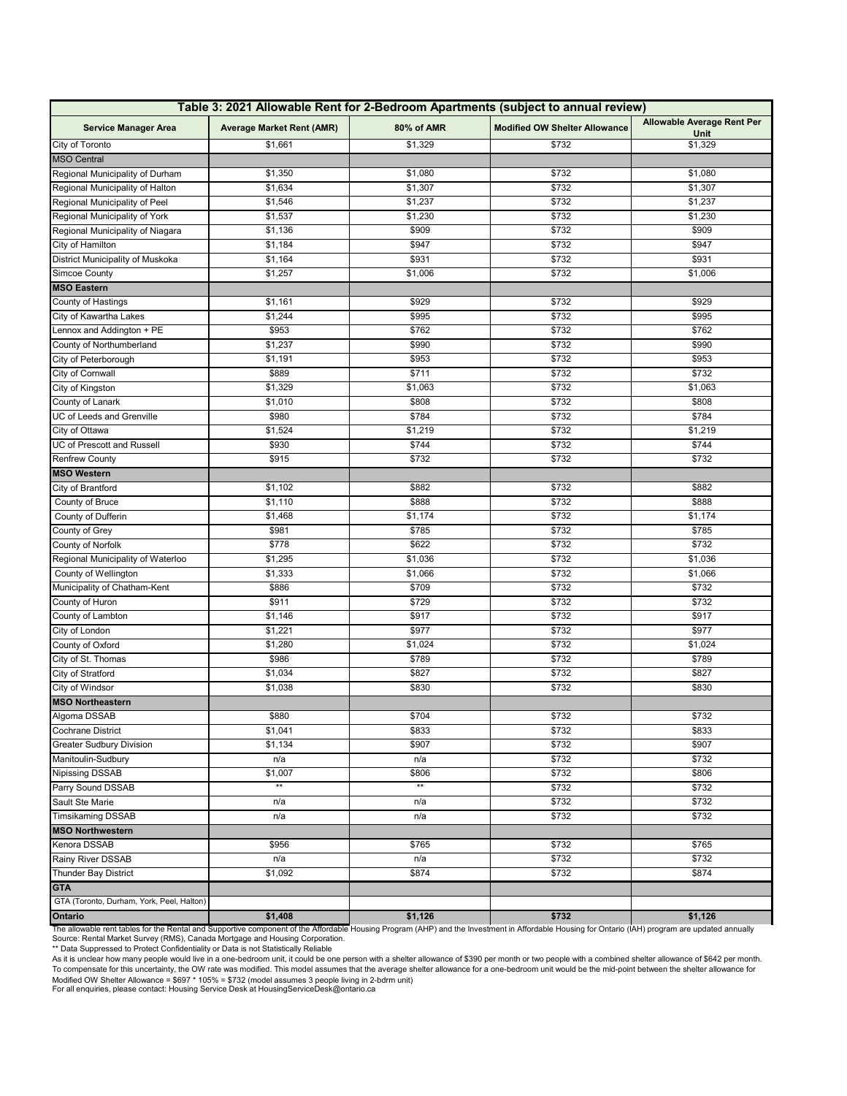| Table 3: 2021 Allowable Rent for 2-Bedroom Apartments (subject to annual review) |                                  |                  |                                      |                                    |  |  |
|----------------------------------------------------------------------------------|----------------------------------|------------------|--------------------------------------|------------------------------------|--|--|
| <b>Service Manager Area</b>                                                      | <b>Average Market Rent (AMR)</b> | 80% of AMR       | <b>Modified OW Shelter Allowance</b> | Allowable Average Rent Per<br>Unit |  |  |
| City of Toronto                                                                  | \$1,661                          | \$1,329          | \$732                                | \$1,329                            |  |  |
| <b>MSO Central</b>                                                               |                                  |                  |                                      |                                    |  |  |
| Regional Municipality of Durham                                                  | \$1,350                          | \$1,080          | \$732                                | \$1,080                            |  |  |
| Regional Municipality of Halton                                                  | \$1,634                          | \$1,307<br>\$732 |                                      | \$1,307                            |  |  |
| Regional Municipality of Peel                                                    | \$1,546                          | \$1,237          | \$732                                | \$1,237                            |  |  |
| Regional Municipality of York                                                    | \$1,537                          | \$1,230          | \$732                                | \$1,230                            |  |  |
| Regional Municipality of Niagara                                                 | \$1,136                          | \$909            | \$732                                | \$909                              |  |  |
| City of Hamilton                                                                 | \$1,184                          | \$947            | \$732                                | \$947                              |  |  |
| District Municipality of Muskoka                                                 | \$1,164                          | \$931            | \$732                                | \$931                              |  |  |
| <b>Simcoe County</b>                                                             | \$1,257                          | \$1,006          | \$732                                | \$1,006                            |  |  |
| <b>MSO Eastern</b>                                                               |                                  |                  |                                      |                                    |  |  |
| County of Hastings                                                               | \$1,161                          | \$929            | \$732                                | \$929                              |  |  |
| City of Kawartha Lakes                                                           | \$1,244                          | \$995            | \$732                                | \$995                              |  |  |
| Lennox and Addington + PE                                                        | \$953                            | \$762            | \$732                                | \$762                              |  |  |
| County of Northumberland                                                         | \$1,237                          | \$990            | \$732                                | \$990                              |  |  |
| City of Peterborough                                                             | \$1,191                          | \$953            | \$732                                | \$953                              |  |  |
| City of Cornwall                                                                 | \$889                            | \$711            | \$732                                | \$732                              |  |  |
| City of Kingston                                                                 | \$1,329                          | \$1,063          | \$732                                | \$1,063                            |  |  |
| County of Lanark                                                                 | \$1,010                          | \$808            | \$732                                | \$808                              |  |  |
| UC of Leeds and Grenville                                                        | \$980                            | \$784            | \$732                                | \$784                              |  |  |
| City of Ottawa                                                                   | \$1,524                          | \$1,219          | \$732                                | \$1,219                            |  |  |
| JC of Prescott and Russell                                                       | \$930                            | \$744            | \$732                                | \$744                              |  |  |
| <b>Renfrew County</b>                                                            | \$915                            | \$732            | \$732                                | \$732                              |  |  |
| <b>MSO Western</b>                                                               |                                  |                  |                                      |                                    |  |  |
| City of Brantford                                                                | \$1,102                          | \$882            | \$732                                | \$882                              |  |  |
| County of Bruce                                                                  | \$1,110                          | \$888            | \$732                                | \$888                              |  |  |
| County of Dufferin                                                               | \$1,468                          | \$1,174          | \$732                                | \$1,174                            |  |  |
| County of Grey                                                                   | \$981                            | \$785            | \$732                                | \$785                              |  |  |
| County of Norfolk                                                                | \$778                            | \$622            | \$732                                | \$732                              |  |  |
| Regional Municipality of Waterloo                                                | \$1,295                          | \$1,036          | \$732                                | \$1,036                            |  |  |
| County of Wellington                                                             | \$1,333                          | \$1,066          | \$732                                | \$1,066                            |  |  |
| Municipality of Chatham-Kent                                                     | \$886                            | \$709            | \$732                                | \$732                              |  |  |
| County of Huron                                                                  | \$911                            | \$729            | \$732                                | \$732                              |  |  |
| County of Lambton                                                                | \$1,146                          | \$917            | \$732                                | \$917                              |  |  |
| City of London                                                                   | \$1,221                          | \$977            | \$732                                | \$977                              |  |  |
| County of Oxford                                                                 | \$1,280                          | \$1,024          | \$732                                | \$1,024                            |  |  |
| City of St. Thomas                                                               | \$986                            | \$789            | \$732                                | \$789                              |  |  |
| City of Stratford                                                                | \$1,034                          | \$827            | \$732                                | \$827                              |  |  |
| City of Windsor                                                                  | \$1,038                          | \$830            | \$732                                | \$830                              |  |  |
| <b>MSO Northeastern</b>                                                          |                                  |                  |                                      |                                    |  |  |
| Algoma DSSAB                                                                     | \$880                            | \$704            | \$732                                | \$732                              |  |  |
| Cochrane District                                                                | \$1,041                          | \$833            | \$732                                | \$833                              |  |  |
| Greater Sudbury Division                                                         | \$1,134                          | \$907            | \$732                                | \$907                              |  |  |
| Manitoulin-Sudbury                                                               | n/a                              | n/a              | \$732                                | \$732                              |  |  |
| Nipissing DSSAB                                                                  | \$1,007                          | \$806            | \$732                                | \$806                              |  |  |
| Parry Sound DSSAB                                                                | $**$                             | $**$             | \$732                                | \$732                              |  |  |
| Sault Ste Marie                                                                  | n/a                              | n/a              | \$732                                | \$732                              |  |  |
| <b>Timsikaming DSSAB</b>                                                         | n/a                              | n/a              | \$732                                | \$732                              |  |  |
| <b>MSO Northwestern</b>                                                          |                                  |                  |                                      |                                    |  |  |
| Kenora DSSAB                                                                     | \$956                            | \$765            | \$732                                | \$765                              |  |  |
| Rainy River DSSAB                                                                | n/a                              | n/a              | \$732                                | \$732                              |  |  |
| Thunder Bay District                                                             | \$1,092                          | \$874            | \$732                                | \$874                              |  |  |
| <b>GTA</b>                                                                       |                                  |                  |                                      |                                    |  |  |
| GTA (Toronto, Durham, York, Peel, Halton)                                        |                                  |                  |                                      |                                    |  |  |
| Ontario                                                                          | \$1,408                          | \$1,126          | \$732                                | \$1,126                            |  |  |

The allowable rent tables for the Rental and Supportive component of the Affordable Housing Program (AHP) and the Investment in Affordable Housing for Ontario (IAH) program are updated annually<br>Source: Rental Market Surve

Modified OW Shelter Allowance = \$697 \* 105% = \$732 (model assumes 3 people living in 2-bdrm unit)<br>For all enquiries, please contact: Housing Service Desk at HousingServiceDesk@ontario.ca As it is unclear how many people would live in a one-bedroom unit, it could be one person with a shelter allowance of \$390 per month or two people with a combined shelter allowance of \$642 per month.<br>To compensate for this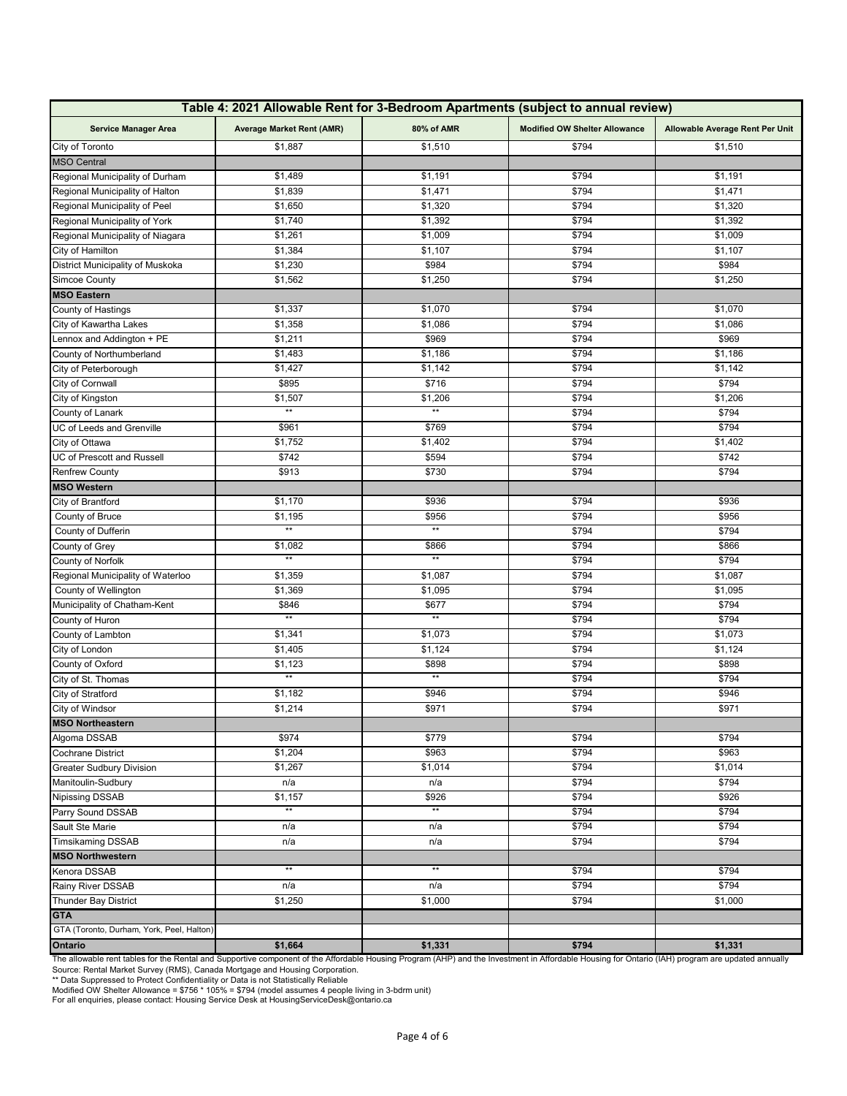| Table 4: 2021 Allowable Rent for 3-Bedroom Apartments (subject to annual review) |                                  |                 |                                      |                                 |  |  |
|----------------------------------------------------------------------------------|----------------------------------|-----------------|--------------------------------------|---------------------------------|--|--|
| <b>Service Manager Area</b>                                                      | <b>Average Market Rent (AMR)</b> | 80% of AMR      | <b>Modified OW Shelter Allowance</b> | Allowable Average Rent Per Unit |  |  |
| City of Toronto                                                                  | \$1,887                          | \$1,510         | \$794                                | \$1,510                         |  |  |
| <b>MSO Central</b>                                                               |                                  |                 |                                      |                                 |  |  |
| Regional Municipality of Durham                                                  | \$1,489                          | \$1,191         | \$794                                | \$1,191                         |  |  |
| Regional Municipality of Halton                                                  | \$1,839                          | \$1,471         | \$794                                | \$1,471                         |  |  |
| Regional Municipality of Peel                                                    | \$1,650                          | \$1,320         | \$794                                | \$1,320                         |  |  |
| Regional Municipality of York                                                    | \$1,740                          | \$1,392         | \$794                                | \$1,392                         |  |  |
| Regional Municipality of Niagara                                                 | \$1,261                          | \$1,009         | \$794                                | \$1,009                         |  |  |
| City of Hamilton                                                                 | \$1,384                          | \$1,107         | \$794                                | \$1,107                         |  |  |
| District Municipality of Muskoka                                                 | \$1,230                          | \$984           | \$794                                | \$984                           |  |  |
| Simcoe County                                                                    | \$1,562                          | \$1,250         | \$794                                | \$1,250                         |  |  |
| <b>MSO Eastern</b>                                                               |                                  |                 |                                      |                                 |  |  |
| County of Hastings                                                               | \$1,337                          | \$1,070         | \$794                                | \$1,070                         |  |  |
| City of Kawartha Lakes                                                           | \$1,358                          | \$1,086         | \$794                                | \$1,086                         |  |  |
| Lennox and Addington + PE                                                        | \$1,211                          | \$969           | \$794                                | \$969                           |  |  |
| County of Northumberland                                                         | \$1,483                          | \$1,186         | \$794                                | \$1,186                         |  |  |
| City of Peterborough                                                             | \$1,427                          | \$1,142         | \$794                                | \$1,142                         |  |  |
| City of Cornwall                                                                 | \$895                            | \$716           | \$794                                | \$794                           |  |  |
| City of Kingston                                                                 | \$1,507                          | \$1,206         | \$794                                | \$1,206                         |  |  |
| County of Lanark                                                                 | $\star\star$                     | $\star\star$    | \$794                                | \$794                           |  |  |
| UC of Leeds and Grenville                                                        | \$961                            | \$769           | \$794                                | \$794                           |  |  |
| City of Ottawa                                                                   | \$1,752                          | \$1,402         | \$794                                | \$1,402                         |  |  |
| UC of Prescott and Russell                                                       | \$742                            | \$594           | \$794                                | \$742                           |  |  |
| Renfrew County                                                                   | \$913                            | \$730           | \$794                                | \$794                           |  |  |
| <b>MSO Western</b>                                                               |                                  |                 |                                      |                                 |  |  |
| City of Brantford                                                                | \$1,170                          | \$936           | \$794                                | \$936                           |  |  |
| County of Bruce                                                                  | \$1,195                          | \$956           | \$794                                | \$956                           |  |  |
| County of Dufferin                                                               | $**$                             | $\star\star$    | \$794                                | \$794                           |  |  |
| County of Grey                                                                   | \$1,082                          | \$866           | \$794                                | \$866                           |  |  |
| <b>County of Norfolk</b>                                                         | $\star\star$                     | $\star\star$    | \$794                                | \$794                           |  |  |
| Regional Municipality of Waterloo                                                | \$1,359                          | \$1,087         | \$794                                | \$1,087                         |  |  |
| County of Wellington                                                             | \$1,369                          | \$1,095         | \$794                                | \$1,095                         |  |  |
| Municipality of Chatham-Kent                                                     | \$846                            | \$677           | \$794                                | \$794                           |  |  |
| County of Huron                                                                  | $\star\star$                     | $^{\star\star}$ | \$794                                | \$794                           |  |  |
| County of Lambton                                                                | \$1,341                          | \$1,073         | \$794                                | \$1,073                         |  |  |
| City of London                                                                   | \$1,405                          | \$1,124         | \$794                                | \$1,124                         |  |  |
| County of Oxford                                                                 | \$1,123                          | \$898           | \$794                                | \$898                           |  |  |
| City of St. Thomas                                                               | $**$                             | $**$            | \$794                                | \$794                           |  |  |
| City of Stratford                                                                | \$1,182                          | \$946           | \$794                                | \$946                           |  |  |
| City of Windsor                                                                  | \$1,214                          | \$971           | \$794                                | \$971                           |  |  |
| <b>MSO Northeastern</b>                                                          |                                  |                 |                                      |                                 |  |  |
| Algoma DSSAB                                                                     | \$974                            | \$779           | \$794                                | \$794                           |  |  |
| <b>Cochrane District</b>                                                         | \$1,204                          | \$963           | \$794                                | \$963                           |  |  |
| <b>Greater Sudbury Division</b>                                                  | \$1,267                          | \$1,014         | \$794                                | \$1,014                         |  |  |
| Manitoulin-Sudbury                                                               | n/a                              | n/a             | \$794                                | \$794                           |  |  |
| Nipissing DSSAB                                                                  | \$1,157                          | \$926           | \$794                                | \$926                           |  |  |
| Parry Sound DSSAB                                                                | $**$                             | $**$            | \$794                                | \$794                           |  |  |
| Sault Ste Marie                                                                  | n/a                              | n/a             | \$794                                | \$794                           |  |  |
| <b>Timsikaming DSSAB</b>                                                         |                                  |                 | \$794                                | \$794                           |  |  |
|                                                                                  | n/a                              | n/a             |                                      |                                 |  |  |
| <b>MSO Northwestern</b>                                                          | $\star\star$                     | $\star\star$    |                                      |                                 |  |  |
| Kenora DSSAB                                                                     |                                  |                 | \$794                                | \$794<br>\$794                  |  |  |
| Rainy River DSSAB                                                                | n/a                              | n/a             | \$794                                |                                 |  |  |
| <b>Thunder Bay District</b>                                                      | \$1,250                          | \$1,000         | \$794                                | \$1,000                         |  |  |
| <b>GTA</b>                                                                       |                                  |                 |                                      |                                 |  |  |
| GTA (Toronto, Durham, York, Peel, Halton)                                        |                                  |                 |                                      |                                 |  |  |
| Ontario                                                                          | \$1,664                          | \$1,331         | \$794                                | \$1,331                         |  |  |

The allowable rent tables for the Rental and Supportive component of the Affordable Housing Program (AHP) and the Investment in Affordable Housing for Ontario (IAH) program are updated annually<br>Source: Rental Market Surve

Modified OW Shelter Allowance = \$756 \* 105% = \$794 (model assumes 4 people living in 3-bdrm unit)<br>For all enquiries, please contact: Housing Service Desk at HousingServiceDesk@ontario.ca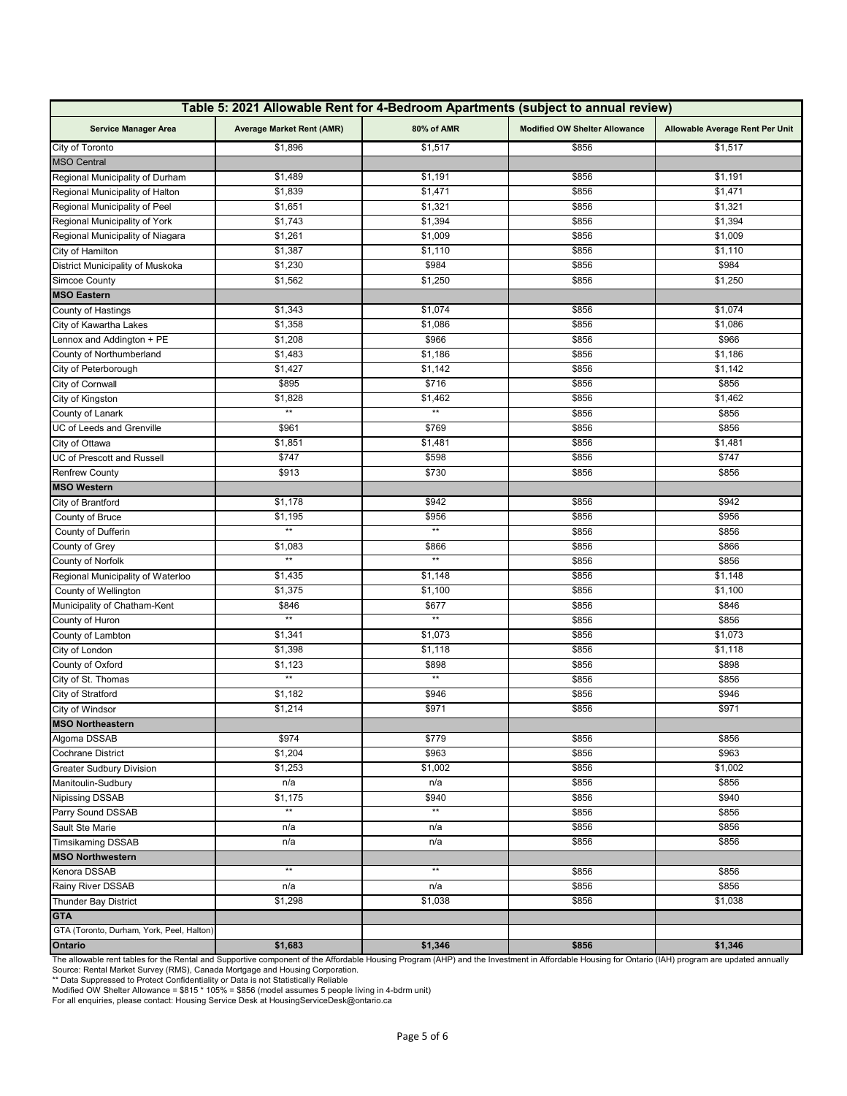| Table 5: 2021 Allowable Rent for 4-Bedroom Apartments (subject to annual review) |                                                |              |                                      |                                 |  |  |
|----------------------------------------------------------------------------------|------------------------------------------------|--------------|--------------------------------------|---------------------------------|--|--|
| <b>Service Manager Area</b>                                                      | 80% of AMR<br><b>Average Market Rent (AMR)</b> |              | <b>Modified OW Shelter Allowance</b> | Allowable Average Rent Per Unit |  |  |
| City of Toronto                                                                  | \$1,896                                        | \$1,517      | \$856                                | \$1,517                         |  |  |
| <b>MSO Central</b>                                                               |                                                |              |                                      |                                 |  |  |
| Regional Municipality of Durham                                                  | \$1,489                                        | \$1,191      | \$856                                | \$1,191                         |  |  |
| Regional Municipality of Halton                                                  | \$1,839                                        | \$1,471      | \$856                                | \$1,471                         |  |  |
| Regional Municipality of Peel                                                    | \$1,651                                        | \$1,321      | \$856                                | \$1,321                         |  |  |
| Regional Municipality of York                                                    | \$1,743                                        | \$1,394      | \$856                                | \$1,394                         |  |  |
| Regional Municipality of Niagara                                                 | \$1,261                                        | \$1,009      | \$856                                | \$1,009                         |  |  |
| City of Hamilton                                                                 | \$1,387                                        | \$1,110      | \$856                                | \$1,110                         |  |  |
| District Municipality of Muskoka                                                 | \$1,230                                        | \$984        | \$856                                | \$984                           |  |  |
| Simcoe County                                                                    | \$1,562                                        | \$1,250      | \$856                                | \$1,250                         |  |  |
| <b>MSO Eastern</b>                                                               |                                                |              |                                      |                                 |  |  |
| County of Hastings                                                               | \$1,343                                        | \$1,074      | \$856                                | \$1,074                         |  |  |
| City of Kawartha Lakes                                                           | \$1,358                                        | \$1,086      | \$856                                | \$1,086                         |  |  |
| Lennox and Addington + PE                                                        | \$1,208                                        | \$966        | \$856                                | \$966                           |  |  |
| County of Northumberland                                                         | \$1,483                                        | \$1,186      | \$856                                | \$1,186                         |  |  |
| City of Peterborough                                                             | \$1,427                                        | \$1,142      | \$856                                | \$1,142                         |  |  |
| City of Cornwall                                                                 | \$895                                          | \$716        | \$856                                | \$856                           |  |  |
| City of Kingston                                                                 | \$1,828                                        | \$1,462      | \$856                                | \$1,462                         |  |  |
| County of Lanark                                                                 | $**$                                           | $**$         | \$856                                | \$856                           |  |  |
| UC of Leeds and Grenville                                                        | \$961                                          | \$769        | \$856                                | \$856                           |  |  |
| City of Ottawa                                                                   | \$1,851                                        | \$1,481      | \$856                                | \$1,481                         |  |  |
| <b>UC of Prescott and Russell</b>                                                | \$747                                          | \$598        | \$856                                | \$747                           |  |  |
| <b>Renfrew County</b>                                                            | \$913                                          | \$730        | \$856                                | \$856                           |  |  |
| <b>MSO Western</b>                                                               |                                                |              |                                      |                                 |  |  |
| City of Brantford                                                                | \$1,178                                        | \$942        | \$856                                | \$942                           |  |  |
| County of Bruce                                                                  | \$1,195                                        | \$956        | \$856                                | \$956                           |  |  |
| County of Dufferin                                                               | $**$                                           | $\star\star$ | \$856                                | \$856                           |  |  |
| County of Grey                                                                   | \$1,083                                        | \$866        | \$856                                | \$866                           |  |  |
| County of Norfolk                                                                | $\star\star$                                   | $**$         | \$856                                | \$856                           |  |  |
| Regional Municipality of Waterloo                                                | \$1,435                                        | \$1,148      | \$856                                | \$1,148                         |  |  |
| County of Wellington                                                             | \$1,375                                        | \$1,100      | \$856                                | \$1,100                         |  |  |
| Municipality of Chatham-Kent                                                     | \$846                                          | \$677        | \$856                                | \$846                           |  |  |
| County of Huron                                                                  | $\star\star$                                   | $**$         | \$856                                | \$856                           |  |  |
| County of Lambton                                                                | \$1,341                                        | \$1,073      | \$856                                | \$1,073                         |  |  |
| City of London                                                                   | \$1,398                                        | \$1,118      | \$856                                | \$1,118                         |  |  |
| County of Oxford                                                                 | \$1,123                                        | \$898        | \$856                                | \$898                           |  |  |
| City of St. Thomas                                                               | $**$                                           | $**$         |                                      |                                 |  |  |
| City of Stratford                                                                | \$1,182                                        | \$946        | \$856<br>\$856<br>\$856<br>\$946     |                                 |  |  |
| City of Windsor                                                                  | \$1,214                                        | \$971        | \$856                                | \$971                           |  |  |
|                                                                                  |                                                |              |                                      |                                 |  |  |
| <b>MSO Northeastern</b>                                                          | \$974                                          | \$779        | \$856                                | \$856                           |  |  |
| Algoma DSSAB                                                                     | \$1,204                                        | \$963        | \$856                                | \$963                           |  |  |
| Cochrane District                                                                |                                                | \$1,002      |                                      | \$1,002                         |  |  |
| Greater Sudbury Division                                                         | \$1,253                                        |              | \$856                                | \$856                           |  |  |
| Manitoulin-Sudbury                                                               | n/a                                            | n/a<br>\$940 | \$856                                |                                 |  |  |
| <b>Nipissing DSSAB</b>                                                           | \$1,175<br>$**$                                | $\star\star$ | \$856                                | \$940                           |  |  |
| Parry Sound DSSAB                                                                |                                                |              | \$856                                | \$856                           |  |  |
| Sault Ste Marie                                                                  | n/a                                            | n/a          | \$856                                | \$856                           |  |  |
| <b>Timsikaming DSSAB</b>                                                         | n/a                                            | n/a          | \$856                                | \$856                           |  |  |
| <b>MSO Northwestern</b>                                                          | $\star\star$                                   | $\star\star$ |                                      |                                 |  |  |
| Kenora DSSAB                                                                     |                                                |              | \$856                                | \$856                           |  |  |
| Rainy River DSSAB                                                                | n/a                                            | n/a          | \$856                                | \$856                           |  |  |
| Thunder Bay District                                                             | \$1,298                                        | \$1,038      | \$856                                | \$1,038                         |  |  |
| <b>GTA</b>                                                                       |                                                |              |                                      |                                 |  |  |
| GTA (Toronto, Durham, York, Peel, Halton)                                        |                                                |              |                                      |                                 |  |  |
| Ontario                                                                          | \$1,683                                        | \$1,346      | \$856                                | \$1,346                         |  |  |

The allowable rent tables for the Rental and Supportive component of the Affordable Housing Program (AHP) and the Investment in Affordable Housing for Ontario (IAH) program are updated annually<br>Source: Rental Market Surve

Modified OW Shelter Allowance = \$815 \* 105% = \$856 (model assumes 5 people living in 4-bdrm unit)<br>For all enquiries, please contact: Housing Service Desk at HousingServiceDesk@ontario.ca